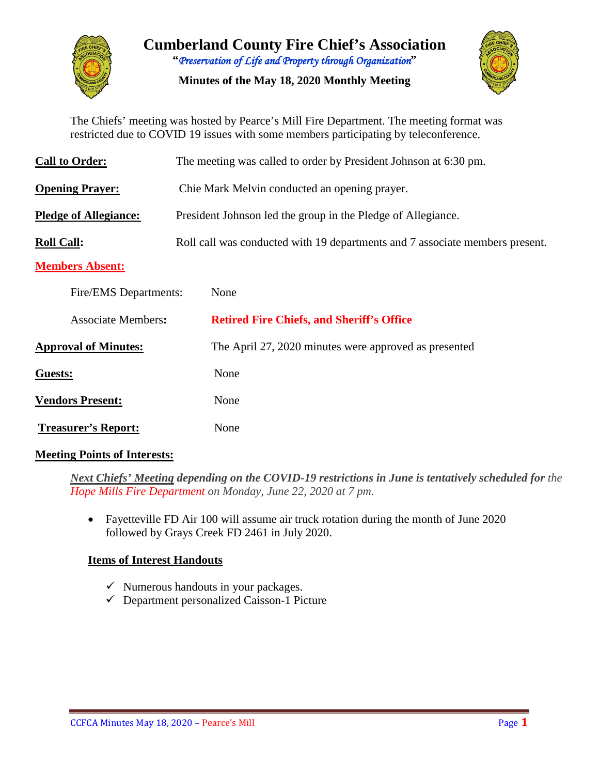

**Cumberland County Fire Chief's Association "***Preservation of Life and Property through Organization***"**

**Minutes of the May 18, 2020 Monthly Meeting**



The Chiefs' meeting was hosted by Pearce's Mill Fire Department. The meeting format was restricted due to COVID 19 issues with some members participating by teleconference.

| <b>Call to Order:</b>        | The meeting was called to order by President Johnson at 6:30 pm.             |  |  |  |  |  |  |  |
|------------------------------|------------------------------------------------------------------------------|--|--|--|--|--|--|--|
| <b>Opening Prayer:</b>       | Chie Mark Melvin conducted an opening prayer.                                |  |  |  |  |  |  |  |
| <b>Pledge of Allegiance:</b> | President Johnson led the group in the Pledge of Allegiance.                 |  |  |  |  |  |  |  |
| <b>Roll Call:</b>            | Roll call was conducted with 19 departments and 7 associate members present. |  |  |  |  |  |  |  |
| <b>Members Absent:</b>       |                                                                              |  |  |  |  |  |  |  |
| Fire/EMS Departments:        | None                                                                         |  |  |  |  |  |  |  |
| <b>Associate Members:</b>    | <b>Retired Fire Chiefs, and Sheriff's Office</b>                             |  |  |  |  |  |  |  |
| <b>Approval of Minutes:</b>  | The April 27, 2020 minutes were approved as presented                        |  |  |  |  |  |  |  |
| Guests:                      | None                                                                         |  |  |  |  |  |  |  |
| <b>Vendors Present:</b>      | None                                                                         |  |  |  |  |  |  |  |
| <b>Treasurer's Report:</b>   | None                                                                         |  |  |  |  |  |  |  |

### **Meeting Points of Interests:**

*Next Chiefs' Meeting depending on the COVID-19 restrictions in June is tentatively scheduled for the Hope Mills Fire Department on Monday, June 22, 2020 at 7 pm.*

• Fayetteville FD Air 100 will assume air truck rotation during the month of June 2020 followed by Grays Creek FD 2461 in July 2020.

### **Items of Interest Handouts**

- $\checkmark$  Numerous handouts in your packages.
- $\checkmark$  Department personalized Caisson-1 Picture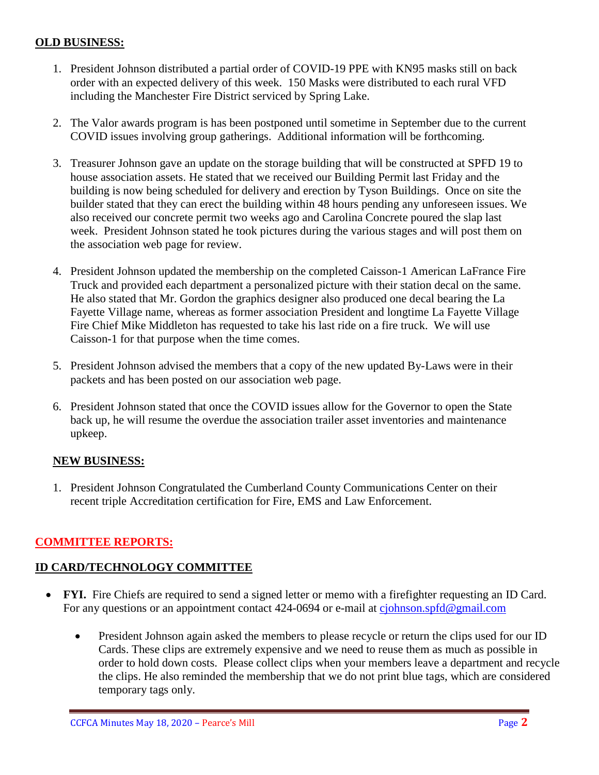### **OLD BUSINESS:**

- 1. President Johnson distributed a partial order of COVID-19 PPE with KN95 masks still on back order with an expected delivery of this week. 150 Masks were distributed to each rural VFD including the Manchester Fire District serviced by Spring Lake.
- 2. The Valor awards program is has been postponed until sometime in September due to the current COVID issues involving group gatherings. Additional information will be forthcoming.
- 3. Treasurer Johnson gave an update on the storage building that will be constructed at SPFD 19 to house association assets. He stated that we received our Building Permit last Friday and the building is now being scheduled for delivery and erection by Tyson Buildings. Once on site the builder stated that they can erect the building within 48 hours pending any unforeseen issues. We also received our concrete permit two weeks ago and Carolina Concrete poured the slap last week. President Johnson stated he took pictures during the various stages and will post them on the association web page for review.
- 4. President Johnson updated the membership on the completed Caisson-1 American LaFrance Fire Truck and provided each department a personalized picture with their station decal on the same. He also stated that Mr. Gordon the graphics designer also produced one decal bearing the La Fayette Village name, whereas as former association President and longtime La Fayette Village Fire Chief Mike Middleton has requested to take his last ride on a fire truck. We will use Caisson-1 for that purpose when the time comes.
- 5. President Johnson advised the members that a copy of the new updated By-Laws were in their packets and has been posted on our association web page.
- 6. President Johnson stated that once the COVID issues allow for the Governor to open the State back up, he will resume the overdue the association trailer asset inventories and maintenance upkeep.

### **NEW BUSINESS:**

1. President Johnson Congratulated the Cumberland County Communications Center on their recent triple Accreditation certification for Fire, EMS and Law Enforcement.

### **COMMITTEE REPORTS:**

### **ID CARD/TECHNOLOGY COMMITTEE**

- **FYI.** Fire Chiefs are required to send a signed letter or memo with a firefighter requesting an ID Card. For any questions or an appointment contact 424-0694 or e-mail at [cjohnson.spfd@gmail.com](mailto:cjohnson.spfd@gmail.com)
	- President Johnson again asked the members to please recycle or return the clips used for our ID Cards. These clips are extremely expensive and we need to reuse them as much as possible in order to hold down costs. Please collect clips when your members leave a department and recycle the clips. He also reminded the membership that we do not print blue tags, which are considered temporary tags only.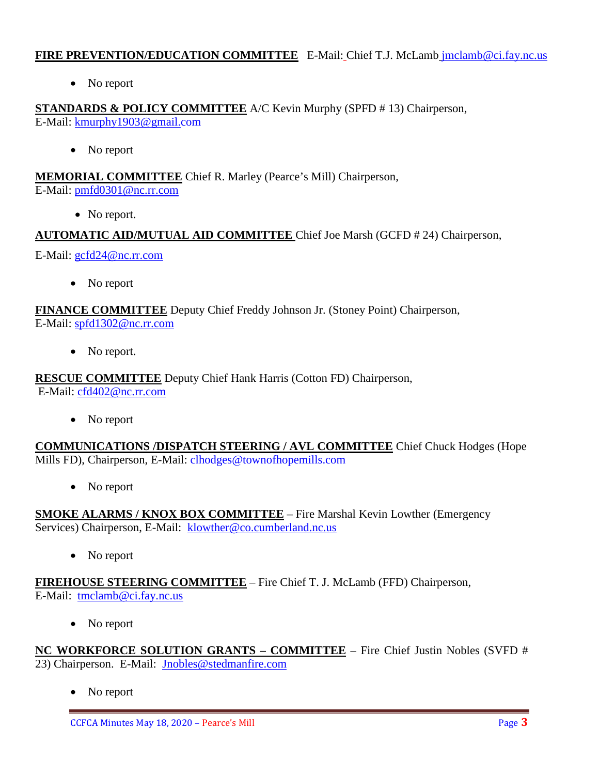### **FIRE PREVENTION/EDUCATION COMMITTEE** E-Mail: Chief T.J. McLamb [jmclamb@ci.fay.nc.us](mailto:jmclamb@ci.fay.nc.us)

• No report

**STANDARDS & POLICY COMMITTEE** A/C Kevin Murphy (SPFD # 13) Chairperson, E-Mail: [kmurphy1903@gmail.com](mailto:kmurphy1903@gmail.com)

• No report

**MEMORIAL COMMITTEE** Chief R. Marley (Pearce's Mill) Chairperson, E-Mail: [pmfd0301@nc.rr.com](mailto:pmfd0301@nc.rr.com)

• No report.

**AUTOMATIC AID/MUTUAL AID COMMITTEE** Chief Joe Marsh (GCFD # 24) Chairperson,

E-Mail: [gcfd24@nc.rr.com](mailto:gcfd24@nc.rr.com)

• No report

**FINANCE COMMITTEE** Deputy Chief Freddy Johnson Jr. (Stoney Point) Chairperson, E-Mail: [spfd1302@nc.rr.com](mailto:spfd1302@nc.rr.com)

• No report.

**RESCUE COMMITTEE** Deputy Chief Hank Harris (Cotton FD) Chairperson, E-Mail: [cfd402@nc.rr.com](mailto:cfd402@nc.rr.com)

• No report

**COMMUNICATIONS /DISPATCH STEERING / AVL COMMITTEE** Chief Chuck Hodges (Hope Mills FD), Chairperson, E-Mail: clhodges@townofhopemills.com

• No report

**SMOKE ALARMS / KNOX BOX COMMITTEE** – Fire Marshal Kevin Lowther (Emergency Services) Chairperson, E-Mail: [klowther@co.cumberland.nc.us](mailto:klowther@co.cumberland.nc.us)

• No report

**FIREHOUSE STEERING COMMITTEE** – Fire Chief T. J. McLamb (FFD) Chairperson, E-Mail: [tmclamb@ci.fay.nc.us](mailto:tmclamb@ci.fay.nc.us)

No report

**NC WORKFORCE SOLUTION GRANTS – COMMITTEE** – Fire Chief Justin Nobles (SVFD # 23) Chairperson. E-Mail: [Jnobles@stedmanfire.com](mailto:Jnobles@stedmanfire.com)

• No report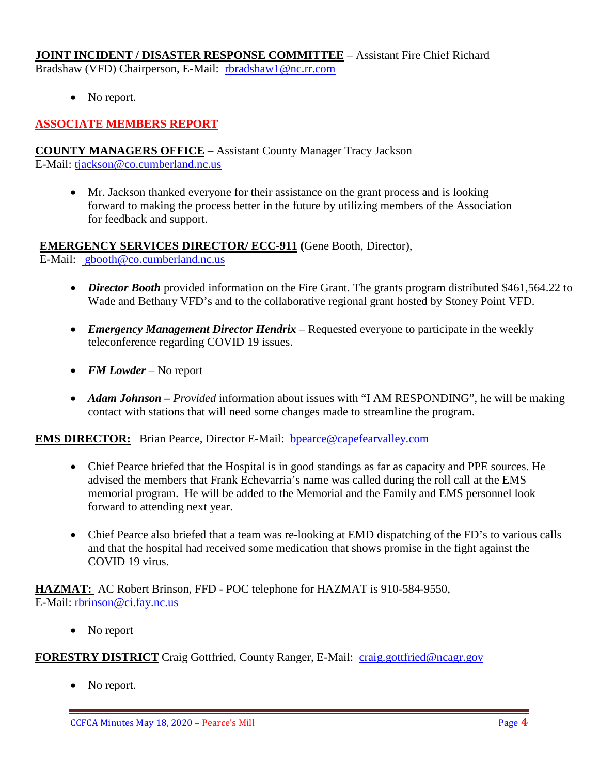#### **JOINT INCIDENT / DISASTER RESPONSE COMMITTEE** – Assistant Fire Chief Richard Bradshaw (VFD) Chairperson, E-Mail: [rbradshaw1@nc.rr.com](mailto:rbradshaw1@nc.rr.com)

• No report.

# **ASSOCIATE MEMBERS REPORT**

#### **COUNTY MANAGERS OFFICE** – Assistant County Manager Tracy Jackson E-Mail: [tjackson@co.cumberland.nc.us](mailto:tjackson@co.cumberland.nc.us)

• Mr. Jackson thanked everyone for their assistance on the grant process and is looking forward to making the process better in the future by utilizing members of the Association for feedback and support.

### **EMERGENCY SERVICES DIRECTOR/ ECC-911 (**Gene Booth, Director),

E-Mail: [gbooth@co.cumberland.nc.us](mailto:gbooth@co.cumberland.nc.us)

- *Director Booth* provided information on the Fire Grant. The grants program distributed \$461,564.22 to Wade and Bethany VFD's and to the collaborative regional grant hosted by Stoney Point VFD.
- *Emergency Management Director Hendrix* Requested everyone to participate in the weekly teleconference regarding COVID 19 issues.
- *FM Lowder* No report
- *Adam Johnson Provided* information about issues with "I AM RESPONDING", he will be making contact with stations that will need some changes made to streamline the program.

### **EMS DIRECTOR:** Brian Pearce, Director E-Mail: **bpearce@capefearvalley.com**

- Chief Pearce briefed that the Hospital is in good standings as far as capacity and PPE sources. He advised the members that Frank Echevarria's name was called during the roll call at the EMS memorial program. He will be added to the Memorial and the Family and EMS personnel look forward to attending next year.
- Chief Pearce also briefed that a team was re-looking at EMD dispatching of the FD's to various calls and that the hospital had received some medication that shows promise in the fight against the COVID 19 virus.

**HAZMAT:** AC Robert Brinson, FFD - POC telephone for HAZMAT is 910-584-9550, E-Mail: [rbrinson@ci.fay.nc.us](mailto:rbrinson@ci.fay.nc.us)

• No report

### **FORESTRY DISTRICT** Craig Gottfried, County Ranger, E-Mail: [craig.gottfried@ncagr.gov](mailto:craig.gottfried@ncagr.gov)

No report.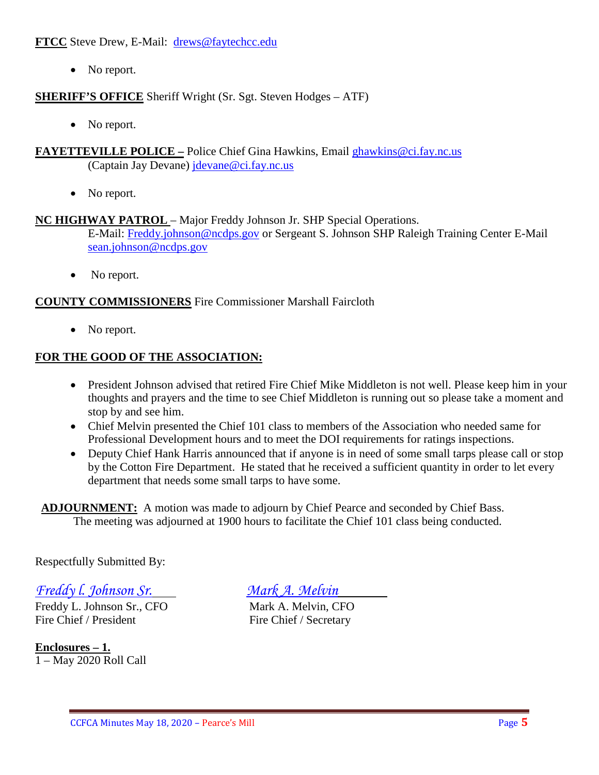**FTCC** Steve Drew, E-Mail: [drews@faytechcc.edu](mailto:drews@faytechcc.edu)

• No report.

**SHERIFF'S OFFICE** Sheriff Wright (Sr. Sgt. Steven Hodges – ATF)

- No report.
- **FAYETTEVILLE POLICE –** Police Chief Gina Hawkins, Email [ghawkins@ci.fay.nc.us](mailto:ghawkins@ci.fay.nc.us)  (Captain Jay Devane) [jdevane@ci.fay.nc.us](mailto:jdevane@ci.fay.nc.us)
	- No report.

# **NC HIGHWAY PATROL** – Major Freddy Johnson Jr. SHP Special Operations.

E-Mail: [Freddy.johnson@ncdps.gov](mailto:Freddy.johnson@ncdps.gov) or Sergeant S. Johnson SHP Raleigh Training Center E-Mail [sean.johnson@ncdps.gov](mailto:sean.johnson@ncdps.gov)

• No report.

# **COUNTY COMMISSIONERS** Fire Commissioner Marshall Faircloth

• No report.

# **FOR THE GOOD OF THE ASSOCIATION:**

- President Johnson advised that retired Fire Chief Mike Middleton is not well. Please keep him in your thoughts and prayers and the time to see Chief Middleton is running out so please take a moment and stop by and see him.
- Chief Melvin presented the Chief 101 class to members of the Association who needed same for Professional Development hours and to meet the DOI requirements for ratings inspections.
- Deputy Chief Hank Harris announced that if anyone is in need of some small tarps please call or stop by the Cotton Fire Department. He stated that he received a sufficient quantity in order to let every department that needs some small tarps to have some.

 **ADJOURNMENT:** A motion was made to adjourn by Chief Pearce and seconded by Chief Bass. The meeting was adjourned at 1900 hours to facilitate the Chief 101 class being conducted.

Respectfully Submitted By:

*Freddy l. Johnson Sr. Mark A. Melvin*

Freddy L. Johnson Sr., CFO<br>
Fire Chief / President<br>
Fire Chief / Secretary

**Enclosures – 1.** 1 – May 2020 Roll Call

Fire Chief / Secretary